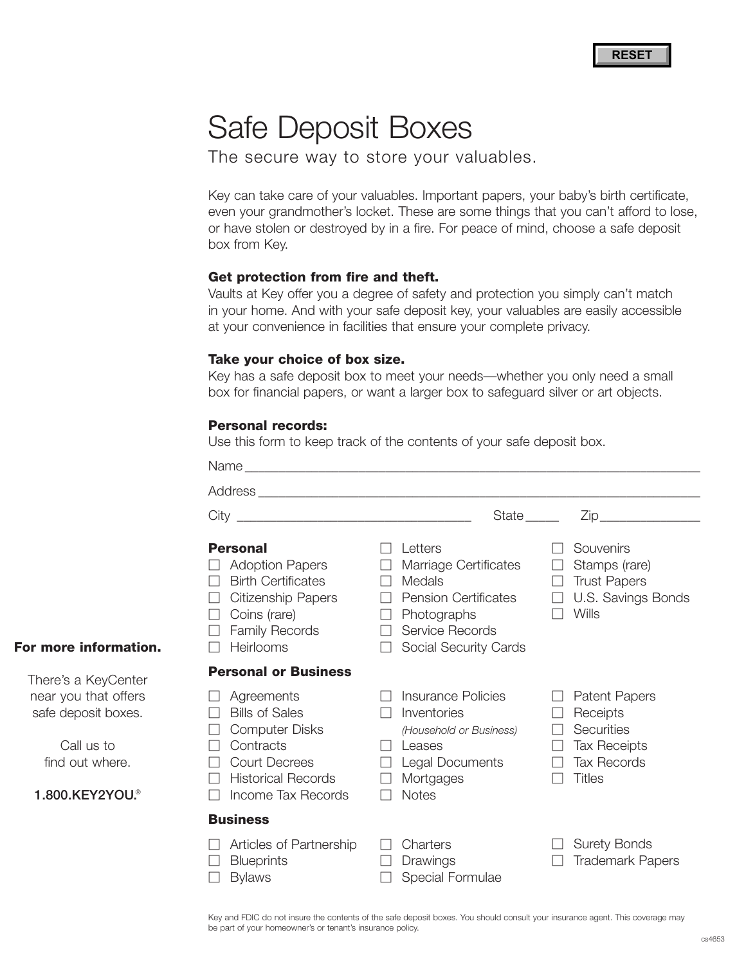# Safe Deposit Boxes

The secure way to store your valuables.

Key can take care of your valuables. Important papers, your baby's birth certificate, even your grandmother's locket. These are some things that you can't afford to lose, or have stolen or destroyed by in a fire. For peace of mind, choose a safe deposit box from Key.

#### **Get protection from fire and theft.**

Vaults at Key offer you a degree of safety and protection you simply can't match in your home. And with your safe deposit key, your valuables are easily accessible at your convenience in facilities that ensure your complete privacy.

#### **Take your choice of box size.**

Key has a safe deposit box to meet your needs—whether you only need a small box for financial papers, or want a larger box to safeguard silver or art objects.

#### **Personal records:**

Use this form to keep track of the contents of your safe deposit box.

|                                                                                                                                                                     | State <sub>______</sub>                                                                                                                                              |                                                                                                              |
|---------------------------------------------------------------------------------------------------------------------------------------------------------------------|----------------------------------------------------------------------------------------------------------------------------------------------------------------------|--------------------------------------------------------------------------------------------------------------|
| <b>Personal</b><br><b>Adoption Papers</b><br><b>Birth Certificates</b><br><b>Citizenship Papers</b><br>Coins (rare)<br>$\Box$<br><b>Family Records</b><br>Heirlooms | Letters<br>Marriage Certificates<br>Medals<br>$\perp$<br>$\Box$ Pension Certificates<br>Photographs<br>$\perp$<br>Service Records<br>$\Box$<br>Social Security Cards | Souvenirs<br>Stamps (rare)<br><b>Trust Papers</b><br>U.S. Savings Bonds<br>Wills<br>$\Box$                   |
| <b>Personal or Business</b>                                                                                                                                         |                                                                                                                                                                      |                                                                                                              |
| Agreements<br><b>Bills of Sales</b><br><b>Computer Disks</b><br>Contracts<br><b>Court Decrees</b><br><b>Historical Records</b><br>Income Tax Records                | Insurance Policies<br>Inventories<br>(Household or Business)<br>Leases<br>Legal Documents<br>Mortgages<br><b>Notes</b>                                               | <b>Patent Papers</b><br>Receipts<br>Securities<br><b>Tax Receipts</b><br><b>Tax Records</b><br><b>Titles</b> |
| <b>Business</b>                                                                                                                                                     |                                                                                                                                                                      |                                                                                                              |
| Articles of Partnership<br><b>Blueprints</b><br><b>Bylaws</b>                                                                                                       | Charters<br>Drawings<br>Special Formulae                                                                                                                             | <b>Surety Bonds</b><br><b>Trademark Papers</b>                                                               |

**For more information.**

There's a KeyCenter near you that offers safe deposit boxes.

> Call us to find out where.

**1.800.KEY2YOU.**®

Key and FDIC do not insure the contents of the safe deposit boxes. You should consult your insurance agent. This coverage may be part of your homeowner's or tenant's insurance policy.